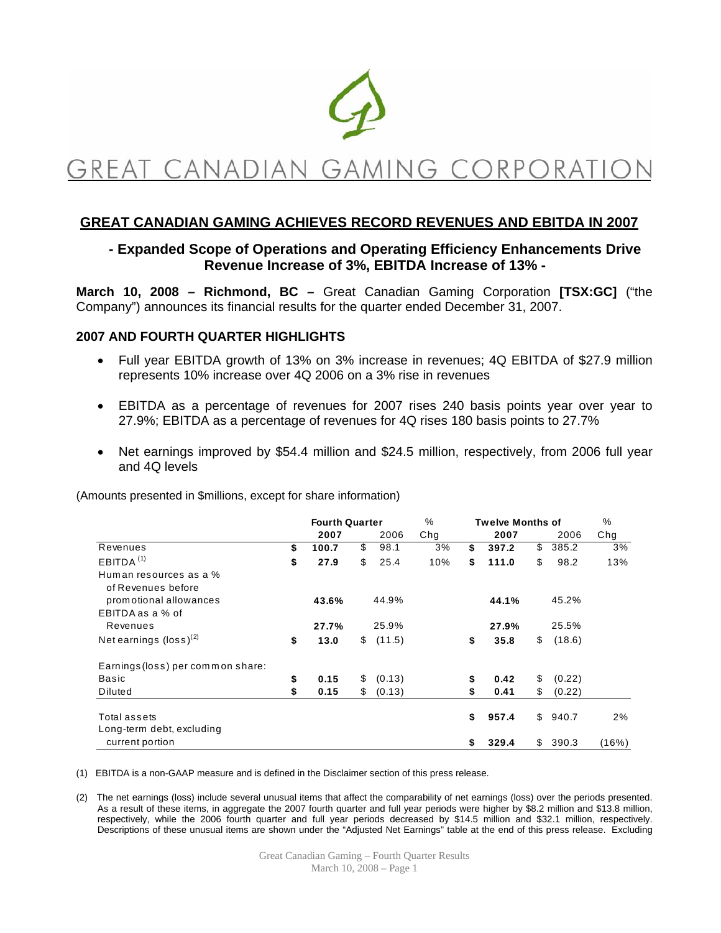

# GREAT CANADIAN GAMING CORPORAT

### **GREAT CANADIAN GAMING ACHIEVES RECORD REVENUES AND EBITDA IN 2007**

### **- Expanded Scope of Operations and Operating Efficiency Enhancements Drive Revenue Increase of 3%, EBITDA Increase of 13% -**

**March 10, 2008 – Richmond, BC –** Great Canadian Gaming Corporation **[TSX:GC]** ("the Company") announces its financial results for the quarter ended December 31, 2007.

### **2007 AND FOURTH QUARTER HIGHLIGHTS**

- Full year EBITDA growth of 13% on 3% increase in revenues; 4Q EBITDA of \$27.9 million represents 10% increase over 4Q 2006 on a 3% rise in revenues
- EBITDA as a percentage of revenues for 2007 rises 240 basis points year over year to 27.9%; EBITDA as a percentage of revenues for 4Q rises 180 basis points to 27.7%
- Net earnings improved by \$54.4 million and \$24.5 million, respectively, from 2006 full year and 4Q levels

(Amounts presented in \$millions, except for share information)

|                                              |    | <b>Fourth Quarter</b> |    |          | $\frac{0}{0}$ | <b>Twelve Months of</b> |       |    |        |       |
|----------------------------------------------|----|-----------------------|----|----------|---------------|-------------------------|-------|----|--------|-------|
|                                              |    | 2007                  |    | 2006     | Chg           |                         | 2007  |    | 2006   | Chg   |
| Revenues                                     | \$ | 100.7                 | \$ | 98.1     | 3%            | \$                      | 397.2 | \$ | 385.2  | 3%    |
| EBITDA <sup>(1)</sup>                        | \$ | 27.9                  | \$ | 25.4     | 10%           | \$                      | 111.0 | \$ | 98.2   | 13%   |
| Human resources as a %<br>of Revenues before |    |                       |    |          |               |                         |       |    |        |       |
| promotional allowances                       |    | 43.6%                 |    | 44.9%    |               |                         | 44.1% |    | 45.2%  |       |
| EBITDA as a % of                             |    |                       |    |          |               |                         |       |    |        |       |
| Revenues                                     |    | 27.7%                 |    | 25.9%    |               |                         | 27.9% |    | 25.5%  |       |
| Net earnings $(log s)^{(2)}$                 | \$ | 13.0                  |    | \$(11.5) |               | \$                      | 35.8  | \$ | (18.6) |       |
| Earnings (loss) per common share:            |    |                       |    |          |               |                         |       |    |        |       |
| <b>Basic</b>                                 | \$ | 0.15                  | \$ | (0.13)   |               | \$                      | 0.42  | \$ | (0.22) |       |
| Diluted                                      | S  | 0.15                  | \$ | (0.13)   |               | \$                      | 0.41  | \$ | (0.22) |       |
| Total assets<br>Long-term debt, excluding    |    |                       |    |          |               | \$                      | 957.4 | \$ | 940.7  | 2%    |
| current portion                              |    |                       |    |          |               | \$                      | 329.4 | \$ | 390.3  | (16%) |

(1) EBITDA is a non-GAAP measure and is defined in the Disclaimer section of this press release.

(2) The net earnings (loss) include several unusual items that affect the comparability of net earnings (loss) over the periods presented. As a result of these items, in aggregate the 2007 fourth quarter and full year periods were higher by \$8.2 million and \$13.8 million, respectively, while the 2006 fourth quarter and full year periods decreased by \$14.5 million and \$32.1 million, respectively. Descriptions of these unusual items are shown under the "Adjusted Net Earnings" table at the end of this press release. Excluding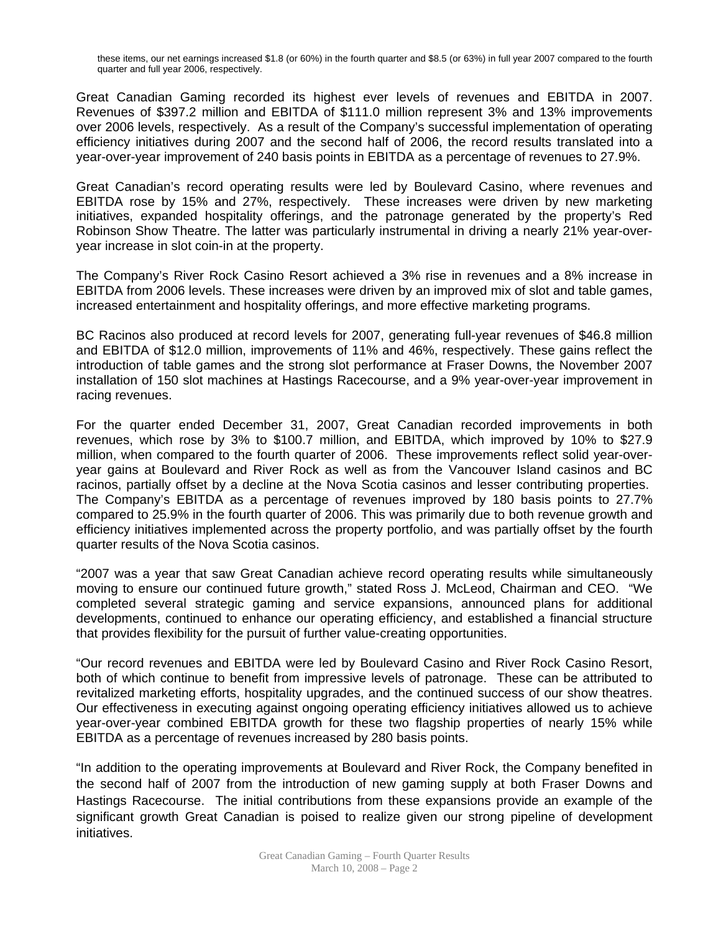Great Canadian Gaming recorded its highest ever levels of revenues and EBITDA in 2007. Revenues of \$397.2 million and EBITDA of \$111.0 million represent 3% and 13% improvements over 2006 levels, respectively. As a result of the Company's successful implementation of operating efficiency initiatives during 2007 and the second half of 2006, the record results translated into a year-over-year improvement of 240 basis points in EBITDA as a percentage of revenues to 27.9%.

Great Canadian's record operating results were led by Boulevard Casino, where revenues and EBITDA rose by 15% and 27%, respectively. These increases were driven by new marketing initiatives, expanded hospitality offerings, and the patronage generated by the property's Red Robinson Show Theatre. The latter was particularly instrumental in driving a nearly 21% year-overyear increase in slot coin-in at the property.

The Company's River Rock Casino Resort achieved a 3% rise in revenues and a 8% increase in EBITDA from 2006 levels. These increases were driven by an improved mix of slot and table games, increased entertainment and hospitality offerings, and more effective marketing programs.

BC Racinos also produced at record levels for 2007, generating full-year revenues of \$46.8 million and EBITDA of \$12.0 million, improvements of 11% and 46%, respectively. These gains reflect the introduction of table games and the strong slot performance at Fraser Downs, the November 2007 installation of 150 slot machines at Hastings Racecourse, and a 9% year-over-year improvement in racing revenues.

For the quarter ended December 31, 2007, Great Canadian recorded improvements in both revenues, which rose by 3% to \$100.7 million, and EBITDA, which improved by 10% to \$27.9 million, when compared to the fourth quarter of 2006. These improvements reflect solid year-overyear gains at Boulevard and River Rock as well as from the Vancouver Island casinos and BC racinos, partially offset by a decline at the Nova Scotia casinos and lesser contributing properties. The Company's EBITDA as a percentage of revenues improved by 180 basis points to 27.7% compared to 25.9% in the fourth quarter of 2006. This was primarily due to both revenue growth and efficiency initiatives implemented across the property portfolio, and was partially offset by the fourth quarter results of the Nova Scotia casinos.

"2007 was a year that saw Great Canadian achieve record operating results while simultaneously moving to ensure our continued future growth," stated Ross J. McLeod, Chairman and CEO. "We completed several strategic gaming and service expansions, announced plans for additional developments, continued to enhance our operating efficiency, and established a financial structure that provides flexibility for the pursuit of further value-creating opportunities.

"Our record revenues and EBITDA were led by Boulevard Casino and River Rock Casino Resort, both of which continue to benefit from impressive levels of patronage. These can be attributed to revitalized marketing efforts, hospitality upgrades, and the continued success of our show theatres. Our effectiveness in executing against ongoing operating efficiency initiatives allowed us to achieve year-over-year combined EBITDA growth for these two flagship properties of nearly 15% while EBITDA as a percentage of revenues increased by 280 basis points.

"In addition to the operating improvements at Boulevard and River Rock, the Company benefited in the second half of 2007 from the introduction of new gaming supply at both Fraser Downs and Hastings Racecourse. The initial contributions from these expansions provide an example of the significant growth Great Canadian is poised to realize given our strong pipeline of development initiatives.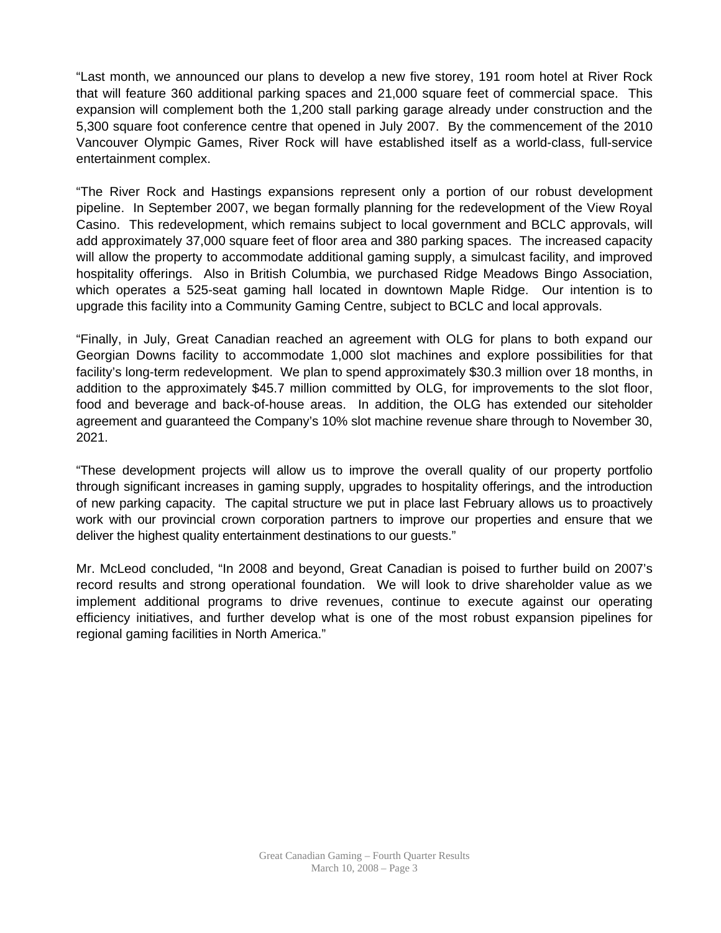"Last month, we announced our plans to develop a new five storey, 191 room hotel at River Rock that will feature 360 additional parking spaces and 21,000 square feet of commercial space. This expansion will complement both the 1,200 stall parking garage already under construction and the 5,300 square foot conference centre that opened in July 2007. By the commencement of the 2010 Vancouver Olympic Games, River Rock will have established itself as a world-class, full-service entertainment complex.

"The River Rock and Hastings expansions represent only a portion of our robust development pipeline. In September 2007, we began formally planning for the redevelopment of the View Royal Casino. This redevelopment, which remains subject to local government and BCLC approvals, will add approximately 37,000 square feet of floor area and 380 parking spaces. The increased capacity will allow the property to accommodate additional gaming supply, a simulcast facility, and improved hospitality offerings. Also in British Columbia, we purchased Ridge Meadows Bingo Association, which operates a 525-seat gaming hall located in downtown Maple Ridge. Our intention is to upgrade this facility into a Community Gaming Centre, subject to BCLC and local approvals.

"Finally, in July, Great Canadian reached an agreement with OLG for plans to both expand our Georgian Downs facility to accommodate 1,000 slot machines and explore possibilities for that facility's long-term redevelopment. We plan to spend approximately \$30.3 million over 18 months, in addition to the approximately \$45.7 million committed by OLG, for improvements to the slot floor, food and beverage and back-of-house areas. In addition, the OLG has extended our siteholder agreement and guaranteed the Company's 10% slot machine revenue share through to November 30, 2021.

"These development projects will allow us to improve the overall quality of our property portfolio through significant increases in gaming supply, upgrades to hospitality offerings, and the introduction of new parking capacity. The capital structure we put in place last February allows us to proactively work with our provincial crown corporation partners to improve our properties and ensure that we deliver the highest quality entertainment destinations to our guests."

Mr. McLeod concluded, "In 2008 and beyond, Great Canadian is poised to further build on 2007's record results and strong operational foundation. We will look to drive shareholder value as we implement additional programs to drive revenues, continue to execute against our operating efficiency initiatives, and further develop what is one of the most robust expansion pipelines for regional gaming facilities in North America."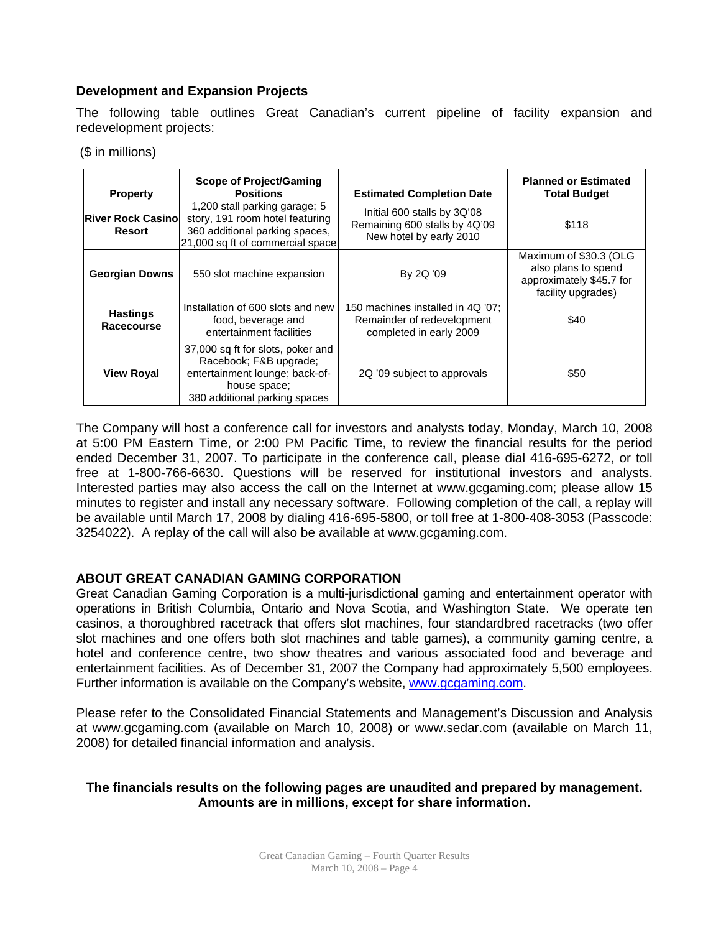### **Development and Expansion Projects**

The following table outlines Great Canadian's current pipeline of facility expansion and redevelopment projects:

(\$ in millions)

| <b>Property</b>                            | <b>Scope of Project/Gaming</b><br><b>Positions</b>                                                                                             | <b>Estimated Completion Date</b>                                                           | <b>Planned or Estimated</b><br><b>Total Budget</b>                                              |
|--------------------------------------------|------------------------------------------------------------------------------------------------------------------------------------------------|--------------------------------------------------------------------------------------------|-------------------------------------------------------------------------------------------------|
| <b>River Rock Casinol</b><br><b>Resort</b> | 1,200 stall parking garage; 5<br>story, 191 room hotel featuring<br>360 additional parking spaces,<br>21,000 sq ft of commercial space         | Initial 600 stalls by 3Q'08<br>Remaining 600 stalls by 4Q'09<br>New hotel by early 2010    | \$118                                                                                           |
| <b>Georgian Downs</b>                      | 550 slot machine expansion                                                                                                                     | By 2Q '09                                                                                  | Maximum of \$30.3 (OLG<br>also plans to spend<br>approximately \$45.7 for<br>facility upgrades) |
| <b>Hastings</b><br>Racecourse              | Installation of 600 slots and new<br>food, beverage and<br>entertainment facilities                                                            | 150 machines installed in 4Q '07;<br>Remainder of redevelopment<br>completed in early 2009 | \$40                                                                                            |
| <b>View Royal</b>                          | 37,000 sq ft for slots, poker and<br>Racebook; F&B upgrade;<br>entertainment lounge; back-of-<br>house space;<br>380 additional parking spaces | 2Q '09 subject to approvals                                                                | \$50                                                                                            |

The Company will host a conference call for investors and analysts today, Monday, March 10, 2008 at 5:00 PM Eastern Time, or 2:00 PM Pacific Time, to review the financial results for the period ended December 31, 2007. To participate in the conference call, please dial 416-695-6272, or toll free at 1-800-766-6630. Questions will be reserved for institutional investors and analysts. Interested parties may also access the call on the Internet at www.gcgaming.com; please allow 15 minutes to register and install any necessary software. Following completion of the call, a replay will be available until March 17, 2008 by dialing 416-695-5800, or toll free at 1-800-408-3053 (Passcode: 3254022). A replay of the call will also be available at www.gcgaming.com.

### **ABOUT GREAT CANADIAN GAMING CORPORATION**

Great Canadian Gaming Corporation is a multi-jurisdictional gaming and entertainment operator with operations in British Columbia, Ontario and Nova Scotia, and Washington State. We operate ten casinos, a thoroughbred racetrack that offers slot machines, four standardbred racetracks (two offer slot machines and one offers both slot machines and table games), a community gaming centre, a hotel and conference centre, two show theatres and various associated food and beverage and entertainment facilities. As of December 31, 2007 the Company had approximately 5,500 employees. Further information is available on the Company's website, www.gcgaming.com.

Please refer to the Consolidated Financial Statements and Management's Discussion and Analysis at www.gcgaming.com (available on March 10, 2008) or www.sedar.com (available on March 11, 2008) for detailed financial information and analysis.

### **The financials results on the following pages are unaudited and prepared by management. Amounts are in millions, except for share information.**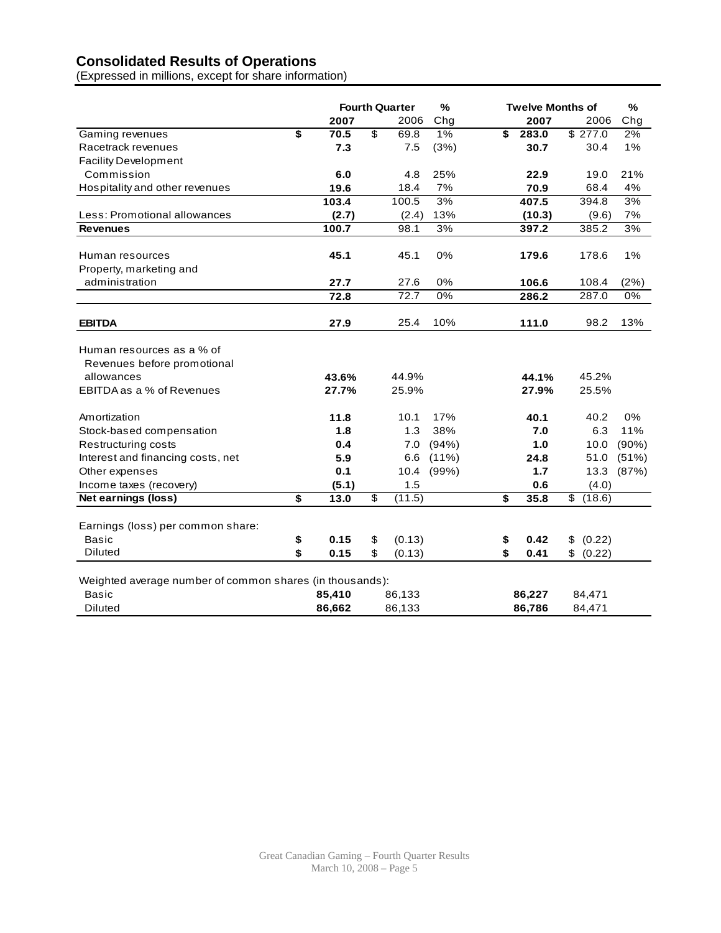### **Consolidated Results of Operations**

(Expressed in millions, except for share information)

|                                                                        |                         | <b>Fourth Quarter</b> |    |        | %        | <b>Twelve Months of</b> |              |          |  |
|------------------------------------------------------------------------|-------------------------|-----------------------|----|--------|----------|-------------------------|--------------|----------|--|
|                                                                        |                         | 2007                  |    | 2006   | Chg      | 2007                    | 2006         | Chg      |  |
| Gaming revenues                                                        | $\overline{\mathbf{s}}$ | 70.5                  | \$ | 69.8   | 1%       | \$<br>283.0             | \$277.0      | $2\%$    |  |
| Racetrack revenues                                                     |                         | 7.3                   |    | 7.5    | (3%)     | 30.7                    | 30.4         | 1%       |  |
| <b>Facility Development</b>                                            |                         |                       |    |        |          |                         |              |          |  |
| Commission                                                             |                         | 6.0                   |    | 4.8    | 25%      | 22.9                    | 19.0         | 21%      |  |
| Hospitality and other revenues                                         |                         | 19.6                  |    | 18.4   | 7%       | 70.9                    | 68.4         | 4%       |  |
|                                                                        |                         | 103.4                 |    | 100.5  | 3%       | 407.5                   | 394.8        | 3%       |  |
| Less: Promotional allowances                                           |                         | (2.7)                 |    | (2.4)  | 13%      | (10.3)                  | (9.6)        | 7%       |  |
| <b>Revenues</b>                                                        |                         | 100.7                 |    | 98.1   | 3%       | 397.2                   | 385.2        | 3%       |  |
|                                                                        |                         |                       |    |        |          |                         |              |          |  |
| Human resources                                                        |                         | 45.1                  |    | 45.1   | 0%       | 179.6                   | 178.6        | 1%       |  |
| Property, marketing and                                                |                         |                       |    |        |          |                         |              |          |  |
| administration                                                         |                         | 27.7                  |    | 27.6   | 0%       | 106.6                   | 108.4        | (2%)     |  |
|                                                                        |                         | 72.8                  |    | 72.7   | 0%       | 286.2                   | 287.0        | 0%       |  |
| <b>EBITDA</b>                                                          |                         | 27.9                  |    | 25.4   | 10%      | 111.0                   | 98.2         | 13%      |  |
| Human resources as a % of<br>Revenues before promotional<br>allowances |                         | 43.6%                 |    | 44.9%  |          | 44.1%                   | 45.2%        |          |  |
| EBITDA as a % of Revenues                                              |                         | 27.7%                 |    | 25.9%  |          | 27.9%                   | 25.5%        |          |  |
|                                                                        |                         |                       |    |        |          |                         |              |          |  |
| Amortization                                                           |                         | 11.8                  |    | 10.1   | 17%      | 40.1                    | 40.2         | $0\%$    |  |
| Stock-based compensation                                               |                         | 1.8                   |    | 1.3    | 38%      | 7.0                     | 6.3          | 11%      |  |
| Restructuring costs                                                    |                         | 0.4                   |    | 7.0    | (94%)    | 1.0                     | 10.0         | $(90\%)$ |  |
| Interest and financing costs, net                                      |                         | 5.9                   |    | 6.6    | $(11\%)$ | 24.8                    | 51.0         | (51%)    |  |
| Other expenses                                                         |                         | 0.1                   |    | 10.4   | (99%)    | 1.7                     | 13.3         | (87%)    |  |
| Income taxes (recovery)                                                |                         | (5.1)                 |    | 1.5    |          | 0.6                     | (4.0)        |          |  |
| Net earnings (loss)                                                    | \$                      | 13.0                  | \$ | (11.5) |          | \$<br>35.8              | \$<br>(18.6) |          |  |
| Earnings (loss) per common share:                                      |                         |                       |    |        |          |                         |              |          |  |
| Basic                                                                  | \$                      | 0.15                  | \$ | (0.13) |          | \$<br>0.42              | (0.22)<br>\$ |          |  |
| <b>Diluted</b>                                                         | \$                      | 0.15                  | \$ | (0.13) |          | \$<br>0.41              | \$ (0.22)    |          |  |
| Weighted average number of common shares (in thousands):               |                         |                       |    |        |          |                         |              |          |  |
| Basic                                                                  |                         | 85,410                |    | 86,133 |          | 86,227                  | 84,471       |          |  |
| <b>Diluted</b>                                                         |                         | 86,662                |    | 86,133 |          | 86,786                  | 84,471       |          |  |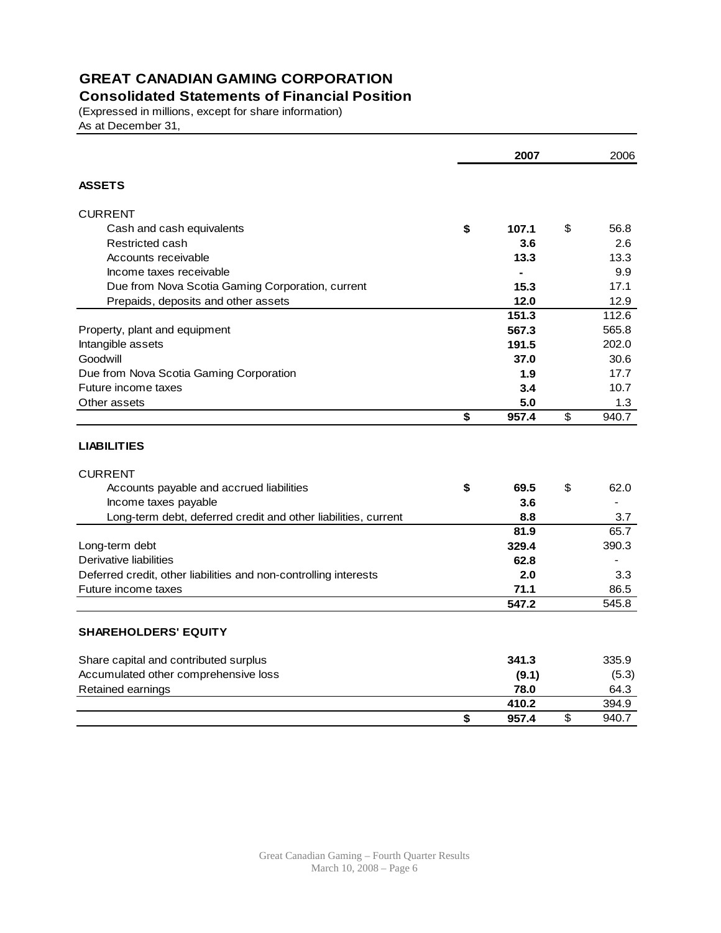## **GREAT CANADIAN GAMING CORPORATION**

### **Consolidated Statements of Financial Position**

(Expressed in millions, except for share information)

As at December 31,

|                                                                                  |    | 2006  |    |       |
|----------------------------------------------------------------------------------|----|-------|----|-------|
| <b>ASSETS</b>                                                                    |    |       |    |       |
| <b>CURRENT</b>                                                                   |    |       |    |       |
| Cash and cash equivalents                                                        | \$ | 107.1 | \$ | 56.8  |
| Restricted cash                                                                  |    | 3.6   |    | 2.6   |
| Accounts receivable                                                              |    | 13.3  |    | 13.3  |
| Income taxes receivable                                                          |    | L,    |    | 9.9   |
| Due from Nova Scotia Gaming Corporation, current                                 |    | 15.3  |    | 17.1  |
| Prepaids, deposits and other assets                                              |    | 12.0  |    | 12.9  |
|                                                                                  |    | 151.3 |    | 112.6 |
| Property, plant and equipment                                                    |    | 567.3 |    | 565.8 |
| Intangible assets                                                                |    | 191.5 |    | 202.0 |
| Goodwill                                                                         |    | 37.0  |    | 30.6  |
| Due from Nova Scotia Gaming Corporation                                          |    | 1.9   |    | 17.7  |
| Future income taxes                                                              |    | 3.4   |    | 10.7  |
| Other assets                                                                     |    | 5.0   |    | 1.3   |
|                                                                                  | \$ | 957.4 | \$ | 940.7 |
| <b>LIABILITIES</b><br><b>CURRENT</b><br>Accounts payable and accrued liabilities | \$ | 69.5  | \$ | 62.0  |
| Income taxes payable                                                             |    | 3.6   |    |       |
| Long-term debt, deferred credit and other liabilities, current                   |    | 8.8   |    | 3.7   |
|                                                                                  |    | 81.9  |    | 65.7  |
| Long-term debt                                                                   |    | 329.4 |    | 390.3 |
| Derivative liabilities                                                           |    | 62.8  |    |       |
| Deferred credit, other liabilities and non-controlling interests                 |    | 2.0   |    | 3.3   |
| Future income taxes                                                              |    | 71.1  |    | 86.5  |
|                                                                                  |    | 547.2 |    | 545.8 |
| <b>SHAREHOLDERS' EQUITY</b>                                                      |    |       |    |       |
| Share capital and contributed surplus                                            |    | 341.3 |    | 335.9 |
| Accumulated other comprehensive loss                                             |    | (9.1) |    | (5.3) |
| Retained earnings                                                                |    | 78.0  |    | 64.3  |
|                                                                                  |    | 410.2 |    | 394.9 |
|                                                                                  | \$ | 957.4 | \$ | 940.7 |
|                                                                                  |    |       |    |       |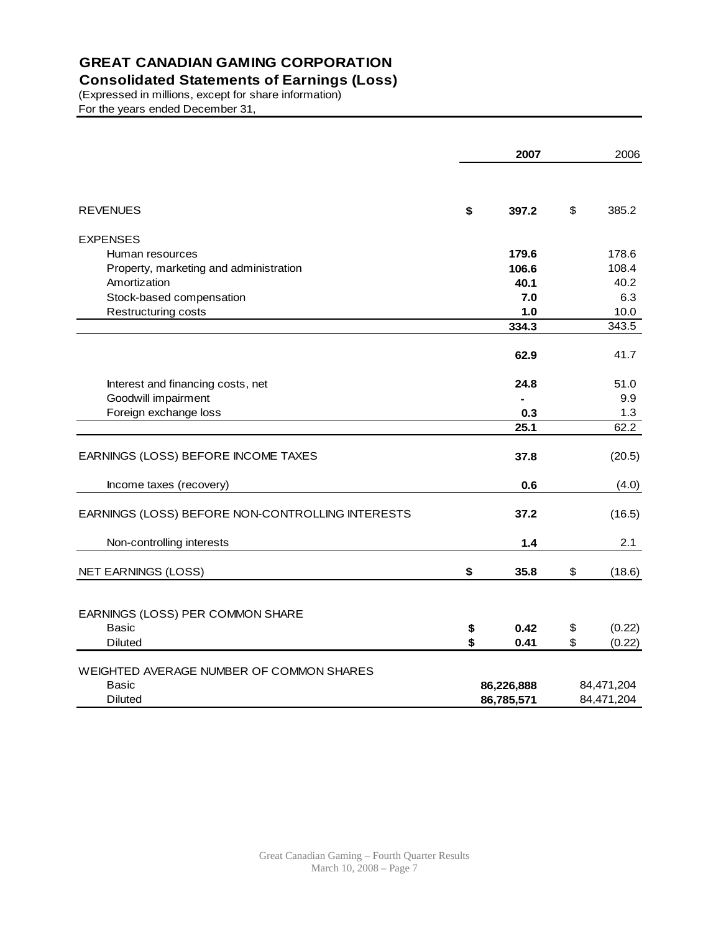### **GREAT CANADIAN GAMING CORPORATION**

**Consolidated Statements of Earnings (Loss)**

(Expressed in millions, except for share information) For the years ended December 31,

|                                                  | 2007     |                |          | 2006       |  |
|--------------------------------------------------|----------|----------------|----------|------------|--|
|                                                  |          |                |          |            |  |
| <b>REVENUES</b>                                  | \$       | 397.2          | \$       | 385.2      |  |
| <b>EXPENSES</b>                                  |          |                |          |            |  |
| Human resources                                  |          | 179.6          |          | 178.6      |  |
| Property, marketing and administration           |          | 106.6          |          | 108.4      |  |
| Amortization                                     |          | 40.1           |          | 40.2       |  |
| Stock-based compensation                         |          | 7.0            |          | 6.3        |  |
| Restructuring costs                              |          | 1.0            |          | 10.0       |  |
|                                                  |          | 334.3          |          | 343.5      |  |
|                                                  |          | 62.9           |          | 41.7       |  |
|                                                  |          |                |          |            |  |
| Interest and financing costs, net                |          | 24.8           |          | 51.0       |  |
| Goodwill impairment                              |          | $\blacksquare$ |          | 9.9        |  |
| Foreign exchange loss                            |          | 0.3            |          | 1.3        |  |
|                                                  |          | 25.1           |          | 62.2       |  |
| EARNINGS (LOSS) BEFORE INCOME TAXES              |          | 37.8           |          | (20.5)     |  |
|                                                  |          |                |          |            |  |
| Income taxes (recovery)                          |          | 0.6            |          | (4.0)      |  |
| EARNINGS (LOSS) BEFORE NON-CONTROLLING INTERESTS |          | 37.2           |          | (16.5)     |  |
|                                                  |          |                |          |            |  |
| Non-controlling interests                        |          | 1.4            |          | 2.1        |  |
| NET EARNINGS (LOSS)                              | \$       | 35.8           | \$       | (18.6)     |  |
|                                                  |          |                |          |            |  |
|                                                  |          |                |          |            |  |
| EARNINGS (LOSS) PER COMMON SHARE<br><b>Basic</b> |          |                |          |            |  |
|                                                  | \$<br>\$ | 0.42           | \$<br>\$ | (0.22)     |  |
| <b>Diluted</b>                                   |          | 0.41           |          | (0.22)     |  |
| WEIGHTED AVERAGE NUMBER OF COMMON SHARES         |          |                |          |            |  |
| Basic                                            |          | 86,226,888     |          | 84,471,204 |  |
| <b>Diluted</b>                                   |          | 86,785,571     |          | 84,471,204 |  |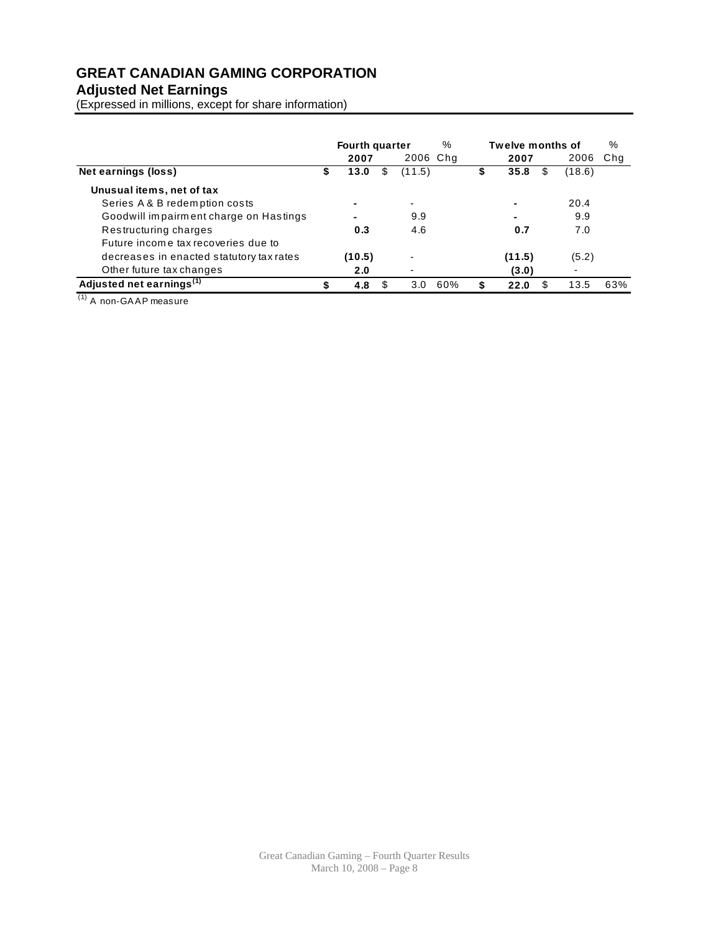### **GREAT CANADIAN GAMING CORPORATION Adjusted Net Earnings**

(Expressed in millions, except for share information)

|                                          | <b>Fourth quarter</b> |        |   |                | %   |   | Twelve months of |   |        |     |
|------------------------------------------|-----------------------|--------|---|----------------|-----|---|------------------|---|--------|-----|
|                                          |                       | 2007   |   | 2006 Chg       |     |   | 2007             |   | 2006   | Chq |
| Net earnings (loss)                      | S                     | 13.0   | S | (11.5)         |     | S | 35.8             | S | (18.6) |     |
| Unusual items, net of tax                |                       |        |   |                |     |   |                  |   |        |     |
| Series A & B redemption costs            |                       | ۰      |   |                |     |   |                  |   | 20.4   |     |
| Goodwill impairment charge on Hastings   |                       |        |   | 9.9            |     |   |                  |   | 9.9    |     |
| Restructuring charges                    |                       | 0.3    |   | 4.6            |     |   | 0.7              |   | 7.0    |     |
| Future income tax recoveries due to      |                       |        |   |                |     |   |                  |   |        |     |
| decreases in enacted statutory tax rates |                       | (10.5) |   | $\blacksquare$ |     |   | (11.5)           |   | (5.2)  |     |
| Other future tax changes                 |                       | 2.0    |   |                |     |   | (3.0)            |   |        |     |
| Adjusted net earnings <sup>(1)</sup>     |                       | 4.8    |   | 3.O            | 60% | S | 22.0             |   | 13.5   | 63% |

(1) A non-GAAP measure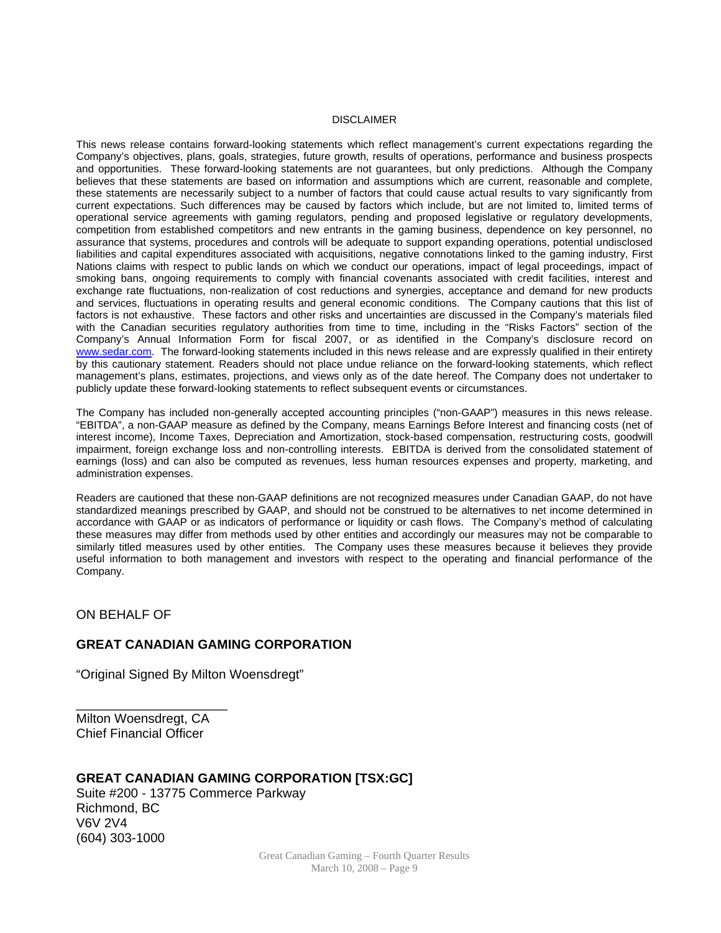#### DISCLAIMER

This news release contains forward-looking statements which reflect management's current expectations regarding the Company's objectives, plans, goals, strategies, future growth, results of operations, performance and business prospects and opportunities. These forward-looking statements are not guarantees, but only predictions. Although the Company believes that these statements are based on information and assumptions which are current, reasonable and complete, these statements are necessarily subject to a number of factors that could cause actual results to vary significantly from current expectations. Such differences may be caused by factors which include, but are not limited to, limited terms of operational service agreements with gaming regulators, pending and proposed legislative or regulatory developments, competition from established competitors and new entrants in the gaming business, dependence on key personnel, no assurance that systems, procedures and controls will be adequate to support expanding operations, potential undisclosed liabilities and capital expenditures associated with acquisitions, negative connotations linked to the gaming industry, First Nations claims with respect to public lands on which we conduct our operations, impact of legal proceedings, impact of smoking bans, ongoing requirements to comply with financial covenants associated with credit facilities, interest and exchange rate fluctuations, non-realization of cost reductions and synergies, acceptance and demand for new products and services, fluctuations in operating results and general economic conditions. The Company cautions that this list of factors is not exhaustive. These factors and other risks and uncertainties are discussed in the Company's materials filed with the Canadian securities regulatory authorities from time to time, including in the "Risks Factors" section of the Company's Annual Information Form for fiscal 2007, or as identified in the Company's disclosure record on www.sedar.com. The forward-looking statements included in this news release and are expressly qualified in their entirety by this cautionary statement. Readers should not place undue reliance on the forward-looking statements, which reflect management's plans, estimates, projections, and views only as of the date hereof. The Company does not undertaker to publicly update these forward-looking statements to reflect subsequent events or circumstances.

The Company has included non-generally accepted accounting principles ("non-GAAP") measures in this news release. "EBITDA", a non-GAAP measure as defined by the Company, means Earnings Before Interest and financing costs (net of interest income), Income Taxes, Depreciation and Amortization, stock-based compensation, restructuring costs, goodwill impairment, foreign exchange loss and non-controlling interests. EBITDA is derived from the consolidated statement of earnings (loss) and can also be computed as revenues, less human resources expenses and property, marketing, and administration expenses.

Readers are cautioned that these non-GAAP definitions are not recognized measures under Canadian GAAP, do not have standardized meanings prescribed by GAAP, and should not be construed to be alternatives to net income determined in accordance with GAAP or as indicators of performance or liquidity or cash flows. The Company's method of calculating these measures may differ from methods used by other entities and accordingly our measures may not be comparable to similarly titled measures used by other entities. The Company uses these measures because it believes they provide useful information to both management and investors with respect to the operating and financial performance of the Company.

ON BEHALF OF

#### **GREAT CANADIAN GAMING CORPORATION**

"Original Signed By Milton Woensdregt"

Milton Woensdregt, CA Chief Financial Officer

\_\_\_\_\_\_\_\_\_\_\_\_\_\_\_\_\_\_\_\_\_

#### **GREAT CANADIAN GAMING CORPORATION [TSX:GC]**

Suite #200 - 13775 Commerce Parkway Richmond, BC V6V 2V4 (604) 303-1000